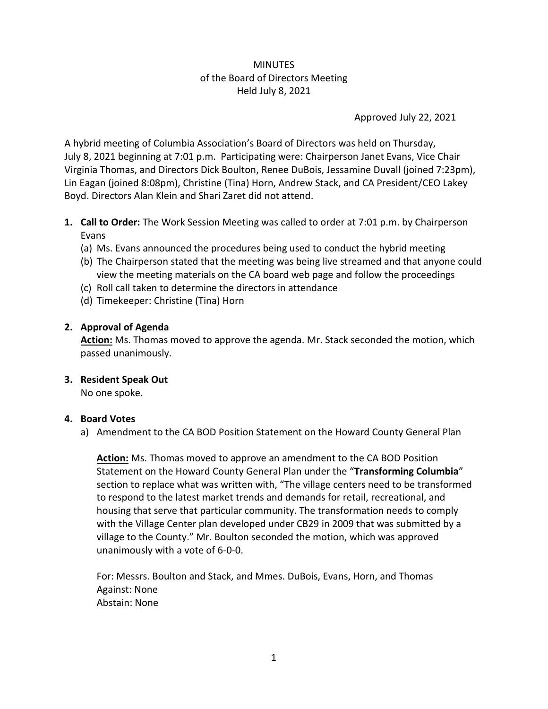# MINUTES of the Board of Directors Meeting Held July 8, 2021

Approved July 22, 2021

A hybrid meeting of Columbia Association's Board of Directors was held on Thursday, July 8, 2021 beginning at 7:01 p.m. Participating were: Chairperson Janet Evans, Vice Chair Virginia Thomas, and Directors Dick Boulton, Renee DuBois, Jessamine Duvall (joined 7:23pm), Lin Eagan (joined 8:08pm), Christine (Tina) Horn, Andrew Stack, and CA President/CEO Lakey Boyd. Directors Alan Klein and Shari Zaret did not attend.

- **1. Call to Order:** The Work Session Meeting was called to order at 7:01 p.m. by Chairperson Evans
	- (a) Ms. Evans announced the procedures being used to conduct the hybrid meeting
	- (b) The Chairperson stated that the meeting was being live streamed and that anyone could view the meeting materials on the CA board web page and follow the proceedings
	- (c) Roll call taken to determine the directors in attendance
	- (d) Timekeeper: Christine (Tina) Horn

#### **2. Approval of Agenda**

**Action:** Ms. Thomas moved to approve the agenda. Mr. Stack seconded the motion, which passed unanimously.

**3. Resident Speak Out**

No one spoke.

#### **4. Board Votes**

a) Amendment to the CA BOD Position Statement on the Howard County General Plan

**Action:** Ms. Thomas moved to approve an amendment to the CA BOD Position Statement on the Howard County General Plan under the "**Transforming Columbia**" section to replace what was written with, "The village centers need to be transformed to respond to the latest market trends and demands for retail, recreational, and housing that serve that particular community. The transformation needs to comply with the Village Center plan developed under CB29 in 2009 that was submitted by a village to the County." Mr. Boulton seconded the motion, which was approved unanimously with a vote of 6-0-0.

For: Messrs. Boulton and Stack, and Mmes. DuBois, Evans, Horn, and Thomas Against: None Abstain: None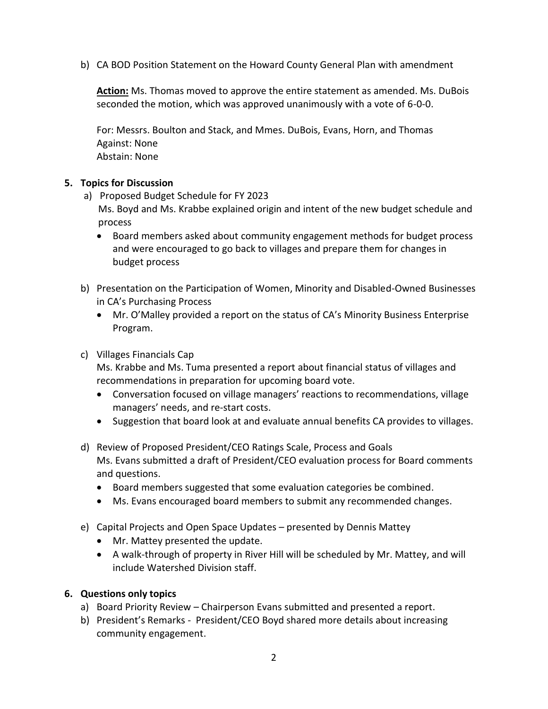b) CA BOD Position Statement on the Howard County General Plan with amendment

**Action:** Ms. Thomas moved to approve the entire statement as amended. Ms. DuBois seconded the motion, which was approved unanimously with a vote of 6-0-0.

For: Messrs. Boulton and Stack, and Mmes. DuBois, Evans, Horn, and Thomas Against: None Abstain: None

#### **5. Topics for Discussion**

- a) Proposed Budget Schedule for FY 2023 Ms. Boyd and Ms. Krabbe explained origin and intent of the new budget schedule and process
	- Board members asked about community engagement methods for budget process and were encouraged to go back to villages and prepare them for changes in budget process
- b) Presentation on the Participation of Women, Minority and Disabled-Owned Businesses in CA's Purchasing Process
	- Mr. O'Malley provided a report on the status of CA's Minority Business Enterprise Program.

## c) Villages Financials Cap

Ms. Krabbe and Ms. Tuma presented a report about financial status of villages and recommendations in preparation for upcoming board vote.

- Conversation focused on village managers' reactions to recommendations, village managers' needs, and re-start costs.
- Suggestion that board look at and evaluate annual benefits CA provides to villages.
- d) Review of Proposed President/CEO Ratings Scale, Process and Goals Ms. Evans submitted a draft of President/CEO evaluation process for Board comments and questions.
	- Board members suggested that some evaluation categories be combined.
	- Ms. Evans encouraged board members to submit any recommended changes.
- e) Capital Projects and Open Space Updates presented by Dennis Mattey
	- Mr. Mattey presented the update.
	- A walk-through of property in River Hill will be scheduled by Mr. Mattey, and will include Watershed Division staff.

#### **6. Questions only topics**

- a) Board Priority Review Chairperson Evans submitted and presented a report.
- b) President's Remarks President/CEO Boyd shared more details about increasing community engagement.